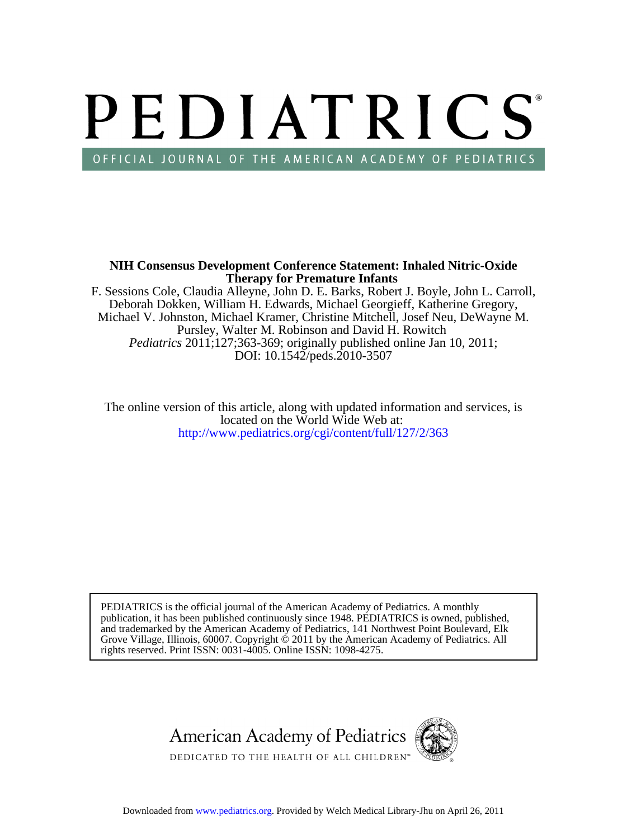# PEDIATRICS OFFICIAL JOURNAL OF THE AMERICAN ACADEMY OF PEDIATRICS

**Therapy for Premature Infants NIH Consensus Development Conference Statement: Inhaled Nitric-Oxide**

DOI: 10.1542/peds.2010-3507 *Pediatrics* 2011;127;363-369; originally published online Jan 10, 2011; Pursley, Walter M. Robinson and David H. Rowitch Michael V. Johnston, Michael Kramer, Christine Mitchell, Josef Neu, DeWayne M. Deborah Dokken, William H. Edwards, Michael Georgieff, Katherine Gregory, F. Sessions Cole, Claudia Alleyne, John D. E. Barks, Robert J. Boyle, John L. Carroll,

<http://www.pediatrics.org/cgi/content/full/127/2/363> located on the World Wide Web at: The online version of this article, along with updated information and services, is

rights reserved. Print ISSN: 0031-4005. Online ISSN: 1098-4275. Grove Village, Illinois, 60007. Copyright  $\ddot{\odot}$  2011 by the American Academy of Pediatrics. All and trademarked by the American Academy of Pediatrics, 141 Northwest Point Boulevard, Elk publication, it has been published continuously since 1948. PEDIATRICS is owned, published, PEDIATRICS is the official journal of the American Academy of Pediatrics. A monthly

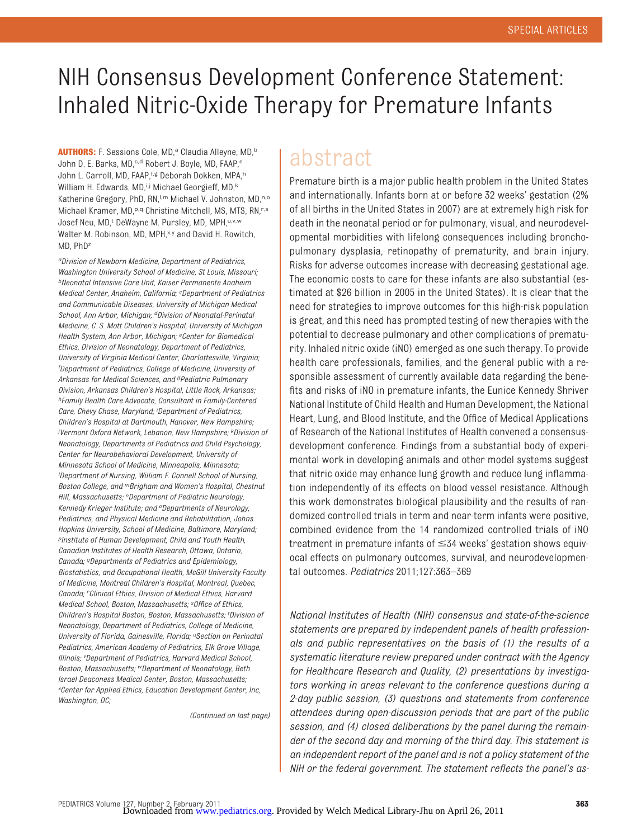# NIH Consensus Development Conference Statement: Inhaled Nitric-Oxide Therapy for Premature Infants

AUTHORS: F. Sessions Cole, MD,<sup>a</sup> Claudia Alleyne, MD,<sup>b</sup> John D. E. Barks, MD,<sup>c,d</sup> Robert J. Boyle, MD, FAAP,<sup>e</sup> John L. Carroll, MD, FAAP,<sup>f,g</sup> Deborah Dokken, MPA,h William H. Edwards, MD, i,j Michael Georgieff, MD, k Katherine Gregory, PhD, RN,<sup>I,m</sup> Michael V. Johnston, MD,<sup>n,o</sup> Michael Kramer, MD, <sup>p,q</sup> Christine Mitchell, MS, MTS, RN, r,s Josef Neu, MD,<sup>t</sup> DeWayne M. Pursley, MD, MPH, u,v,w Walter M. Robinson, MD, MPH,<sup>x,y</sup> and David H. Rowitch, MD, PhDz

*aDivision of Newborn Medicine, Department of Pediatrics, Washington University School of Medicine, St Louis, Missouri; bNeonatal Intensive Care Unit, Kaiser Permanente Anaheim Medical Center, Anaheim, California; <sup>c</sup> Department of Pediatrics and Communicable Diseases, University of Michigan Medical School, Ann Arbor, Michigan; dDivision of Neonatal-Perinatal Medicine, C. S. Mott Children's Hospital, University of Michigan Health System, Ann Arbor, Michigan; <sup>e</sup> Center for Biomedical Ethics, Division of Neonatology, Department of Pediatrics, University of Virginia Medical Center, Charlottesville, Virginia; f Department of Pediatrics, College of Medicine, University of Arkansas for Medical Sciences, and gPediatric Pulmonary Division, Arkansas Children's Hospital, Little Rock, Arkansas; hFamily Health Care Advocate, Consultant in Family-Centered Care, Chevy Chase, Maryland; <sup>i</sup> Department of Pediatrics, Children's Hospital at Dartmouth, Hanover, New Hampshire; j Vermont Oxford Network, Lebanon, New Hampshire; <sup>k</sup> Division of Neonatology, Departments of Pediatrics and Child Psychology, Center for Neurobehavioral Development, University of Minnesota School of Medicine, Minneapolis, Minnesota; l Department of Nursing, William F. Connell School of Nursing, Boston College, and mBrigham and Women's Hospital, Chestnut Hill, Massachusetts; nDepartment of Pediatric Neurology, Kennedy Krieger Institute; and <sup>o</sup> Departments of Neurology, Pediatrics, and Physical Medicine and Rehabilitation, Johns Hopkins University, School of Medicine, Baltimore, Maryland; pInstitute of Human Development, Child and Youth Health, Canadian Institutes of Health Research, Ottawa, Ontario, Canada; qDepartments of Pediatrics and Epidemiology, Biostatistics, and Occupational Health, McGill University Faculty of Medicine, Montreal Children's Hospital, Montreal, Quebec, Canada; <sup>r</sup> Clinical Ethics, Division of Medical Ethics, Harvard Medical School, Boston, Massachusetts; <sup>s</sup> Office of Ethics, Children's Hospital Boston, Boston, Massachusetts; <sup>t</sup> Division of Neonatology, Department of Pediatrics, College of Medicine, University of Florida, Gainesville, Florida; uSection on Perinatal Pediatrics, American Academy of Pediatrics, Elk Grove Village, Illinois; <sup>v</sup> Department of Pediatrics, Harvard Medical School, Boston, Massachusetts; wDepartment of Neonatology, Beth Israel Deaconess Medical Center, Boston, Massachusetts; x Center for Applied Ethics, Education Development Center, Inc, Washington, DC;*

*(Continued on last page)*

# abstract

Premature birth is a major public health problem in the United States and internationally. Infants born at or before 32 weeks' gestation (2% of all births in the United States in 2007) are at extremely high risk for death in the neonatal period or for pulmonary, visual, and neurodevelopmental morbidities with lifelong consequences including bronchopulmonary dysplasia, retinopathy of prematurity, and brain injury. Risks for adverse outcomes increase with decreasing gestational age. The economic costs to care for these infants are also substantial (estimated at \$26 billion in 2005 in the United States). It is clear that the need for strategies to improve outcomes for this high-risk population is great, and this need has prompted testing of new therapies with the potential to decrease pulmonary and other complications of prematurity. Inhaled nitric oxide (iNO) emerged as one such therapy. To provide health care professionals, families, and the general public with a responsible assessment of currently available data regarding the benefits and risks of iNO in premature infants, the Eunice Kennedy Shriver National Institute of Child Health and Human Development, the National Heart, Lung, and Blood Institute, and the Office of Medical Applications of Research of the National Institutes of Health convened a consensusdevelopment conference. Findings from a substantial body of experimental work in developing animals and other model systems suggest that nitric oxide may enhance lung growth and reduce lung inflammation independently of its effects on blood vessel resistance. Although this work demonstrates biological plausibility and the results of randomized controlled trials in term and near-term infants were positive, combined evidence from the 14 randomized controlled trials of iNO treatment in premature infants of  $\leq$  34 weeks' gestation shows equivocal effects on pulmonary outcomes, survival, and neurodevelopmental outcomes. *Pediatrics* 2011;127:363–369

*National Institutes of Health (NIH) consensus and state-of-the-science statements are prepared by independent panels of health professionals and public representatives on the basis of (1) the results of a systematic literature review prepared under contract with the Agency for Healthcare Research and Quality, (2) presentations by investigators working in areas relevant to the conference questions during a 2-day public session, (3) questions and statements from conference attendees during open-discussion periods that are part of the public session, and (4) closed deliberations by the panel during the remainder of the second day and morning of the third day. This statement is an independent report of the panel and is not a policy statement of the NIH or the federal government. The statement reflects the panel's as-*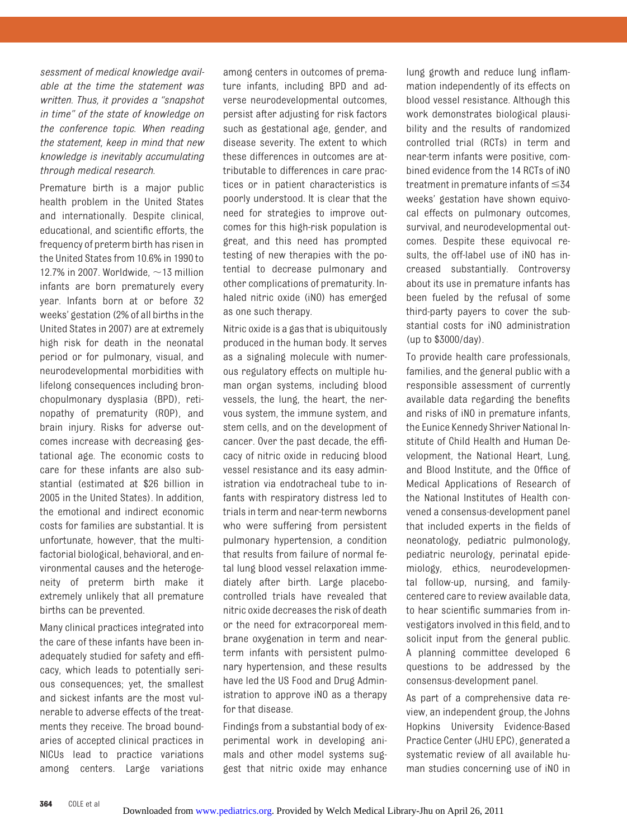*sessment of medical knowledge available at the time the statement was written. Thus, it provides a "snapshot in time" of the state of knowledge on the conference topic. When reading the statement, keep in mind that new knowledge is inevitably accumulating through medical research.*

Premature birth is a major public health problem in the United States and internationally. Despite clinical, educational, and scientific efforts, the frequency of preterm birth has risen in the United States from 10.6% in 1990 to 12.7% in 2007. Worldwide,  $\sim$  13 million infants are born prematurely every year. Infants born at or before 32 weeks' gestation (2% of all births in the United States in 2007) are at extremely high risk for death in the neonatal period or for pulmonary, visual, and neurodevelopmental morbidities with lifelong consequences including bronchopulmonary dysplasia (BPD), retinopathy of prematurity (ROP), and brain injury. Risks for adverse outcomes increase with decreasing gestational age. The economic costs to care for these infants are also substantial (estimated at \$26 billion in 2005 in the United States). In addition, the emotional and indirect economic costs for families are substantial. It is unfortunate, however, that the multifactorial biological, behavioral, and environmental causes and the heterogeneity of preterm birth make it extremely unlikely that all premature births can be prevented.

Many clinical practices integrated into the care of these infants have been inadequately studied for safety and efficacy, which leads to potentially serious consequences; yet, the smallest and sickest infants are the most vulnerable to adverse effects of the treatments they receive. The broad boundaries of accepted clinical practices in NICUs lead to practice variations among centers. Large variations

among centers in outcomes of premature infants, including BPD and adverse neurodevelopmental outcomes, persist after adjusting for risk factors such as gestational age, gender, and disease severity. The extent to which these differences in outcomes are attributable to differences in care practices or in patient characteristics is poorly understood. It is clear that the need for strategies to improve outcomes for this high-risk population is great, and this need has prompted testing of new therapies with the potential to decrease pulmonary and other complications of prematurity. Inhaled nitric oxide (iNO) has emerged as one such therapy.

Nitric oxide is a gas that is ubiquitously produced in the human body. It serves as a signaling molecule with numerous regulatory effects on multiple human organ systems, including blood vessels, the lung, the heart, the nervous system, the immune system, and stem cells, and on the development of cancer. Over the past decade, the efficacy of nitric oxide in reducing blood vessel resistance and its easy administration via endotracheal tube to infants with respiratory distress led to trials in term and near-term newborns who were suffering from persistent pulmonary hypertension, a condition that results from failure of normal fetal lung blood vessel relaxation immediately after birth. Large placebocontrolled trials have revealed that nitric oxide decreases the risk of death or the need for extracorporeal membrane oxygenation in term and nearterm infants with persistent pulmonary hypertension, and these results have led the US Food and Drug Administration to approve iNO as a therapy for that disease.

Findings from a substantial body of experimental work in developing animals and other model systems suggest that nitric oxide may enhance

lung growth and reduce lung inflammation independently of its effects on blood vessel resistance. Although this work demonstrates biological plausibility and the results of randomized controlled trial (RCTs) in term and near-term infants were positive, combined evidence from the 14 RCTs of iNO treatment in premature infants of  $\leq 34$ weeks' gestation have shown equivocal effects on pulmonary outcomes, survival, and neurodevelopmental outcomes. Despite these equivocal results, the off-label use of iNO has increased substantially. Controversy about its use in premature infants has been fueled by the refusal of some third-party payers to cover the substantial costs for iNO administration (up to \$3000/day).

To provide health care professionals, families, and the general public with a responsible assessment of currently available data regarding the benefits and risks of iNO in premature infants, the Eunice Kennedy Shriver National Institute of Child Health and Human Development, the National Heart, Lung, and Blood Institute, and the Office of Medical Applications of Research of the National Institutes of Health convened a consensus-development panel that included experts in the fields of neonatology, pediatric pulmonology, pediatric neurology, perinatal epidemiology, ethics, neurodevelopmental follow-up, nursing, and familycentered care to review available data, to hear scientific summaries from investigators involved in this field, and to solicit input from the general public. A planning committee developed 6 questions to be addressed by the consensus-development panel.

As part of a comprehensive data review, an independent group, the Johns Hopkins University Evidence-Based Practice Center (JHU EPC), generated a systematic review of all available human studies concerning use of iNO in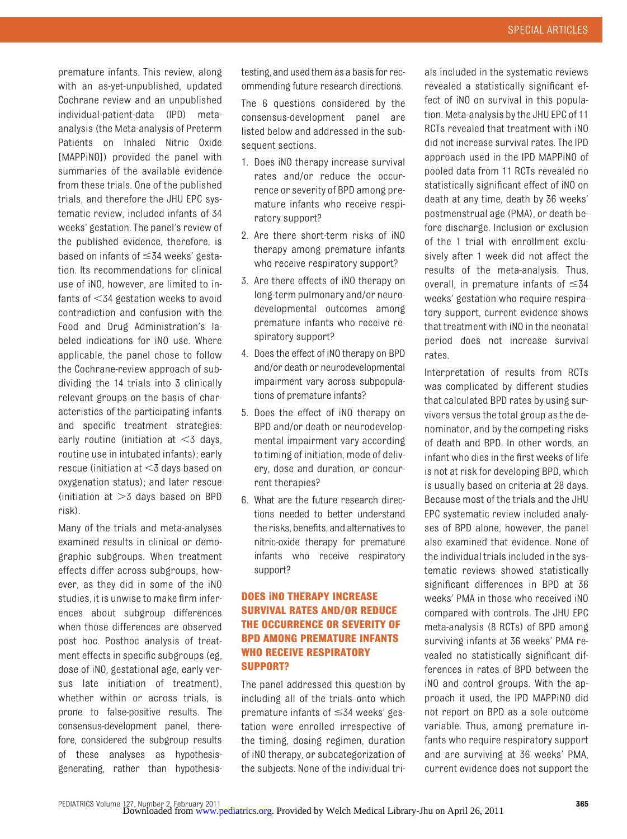premature infants. This review, along with an as-yet-unpublished, updated Cochrane review and an unpublished individual-patient-data (IPD) metaanalysis (the Meta-analysis of Preterm Patients on Inhaled Nitric Oxide [MAPPiNO]) provided the panel with summaries of the available evidence from these trials. One of the published trials, and therefore the JHU EPC systematic review, included infants of 34 weeks' gestation. The panel's review of the published evidence, therefore, is based on infants of  $\leq$  34 weeks' gestation. Its recommendations for clinical use of iNO, however, are limited to infants of  $<$ 34 gestation weeks to avoid contradiction and confusion with the Food and Drug Administration's labeled indications for iNO use. Where applicable, the panel chose to follow the Cochrane-review approach of subdividing the 14 trials into 3 clinically relevant groups on the basis of characteristics of the participating infants and specific treatment strategies: early routine (initiation at  $<$ 3 days, routine use in intubated infants); early rescue (initiation at  $<$ 3 days based on oxygenation status); and later rescue (initiation at  $>$ 3 days based on BPD risk).

Many of the trials and meta-analyses examined results in clinical or demographic subgroups. When treatment effects differ across subgroups, however, as they did in some of the iNO studies, it is unwise to make firm inferences about subgroup differences when those differences are observed post hoc. Posthoc analysis of treatment effects in specific subgroups (eg, dose of iNO, gestational age, early versus late initiation of treatment), whether within or across trials, is prone to false-positive results. The consensus-development panel, therefore, considered the subgroup results of these analyses as hypothesisgenerating, rather than hypothesistesting, and usedthem as a basisfor recommending future research directions.

The 6 questions considered by the consensus-development panel are listed below and addressed in the subsequent sections.

- 1. Does iNO therapy increase survival rates and/or reduce the occurrence or severity of BPD among premature infants who receive respiratory support?
- 2. Are there short-term risks of iNO therapy among premature infants who receive respiratory support?
- 3. Are there effects of iNO therapy on long-term pulmonary and/or neurodevelopmental outcomes among premature infants who receive respiratory support?
- 4. Does the effect of iNO therapy on BPD and/or death or neurodevelopmental impairment vary across subpopulations of premature infants?
- 5. Does the effect of iNO therapy on BPD and/or death or neurodevelopmental impairment vary according to timing of initiation, mode of delivery, dose and duration, or concurrent therapies?
- 6. What are the future research directions needed to better understand the risks, benefits, and alternatives to nitric-oxide therapy for premature infants who receive respiratory support?

## **DOES iNO THERAPY INCREASE SURVIVAL RATES AND/OR REDUCE THE OCCURRENCE OR SEVERITY OF BPD AMONG PREMATURE INFANTS WHO RECEIVE RESPIRATORY SUPPORT?**

The panel addressed this question by including all of the trials onto which premature infants of  $\leq$  34 weeks' gestation were enrolled irrespective of the timing, dosing regimen, duration of iNO therapy, or subcategorization of the subjects. None of the individual trials included in the systematic reviews revealed a statistically significant effect of iNO on survival in this population. Meta-analysis by the JHU EPC of 11 RCTs revealed that treatment with iNO did not increase survival rates. The IPD approach used in the IPD MAPPiNO of pooled data from 11 RCTs revealed no statistically significant effect of iNO on death at any time, death by 36 weeks' postmenstrual age (PMA), or death before discharge. Inclusion or exclusion of the 1 trial with enrollment exclusively after 1 week did not affect the results of the meta-analysis. Thus, overall, in premature infants of  $\leq 34$ weeks' gestation who require respiratory support, current evidence shows that treatment with iNO in the neonatal period does not increase survival rates.

Interpretation of results from RCTs was complicated by different studies that calculated BPD rates by using survivors versus the total group as the denominator, and by the competing risks of death and BPD. In other words, an infant who dies in the first weeks of life is not at risk for developing BPD, which is usually based on criteria at 28 days. Because most of the trials and the JHU EPC systematic review included analyses of BPD alone, however, the panel also examined that evidence. None of the individual trials included in the systematic reviews showed statistically significant differences in BPD at 36 weeks' PMA in those who received iNO compared with controls. The JHU EPC meta-analysis (8 RCTs) of BPD among surviving infants at 36 weeks' PMA revealed no statistically significant differences in rates of BPD between the iNO and control groups. With the approach it used, the IPD MAPPiNO did not report on BPD as a sole outcome variable. Thus, among premature infants who require respiratory support and are surviving at 36 weeks' PMA, current evidence does not support the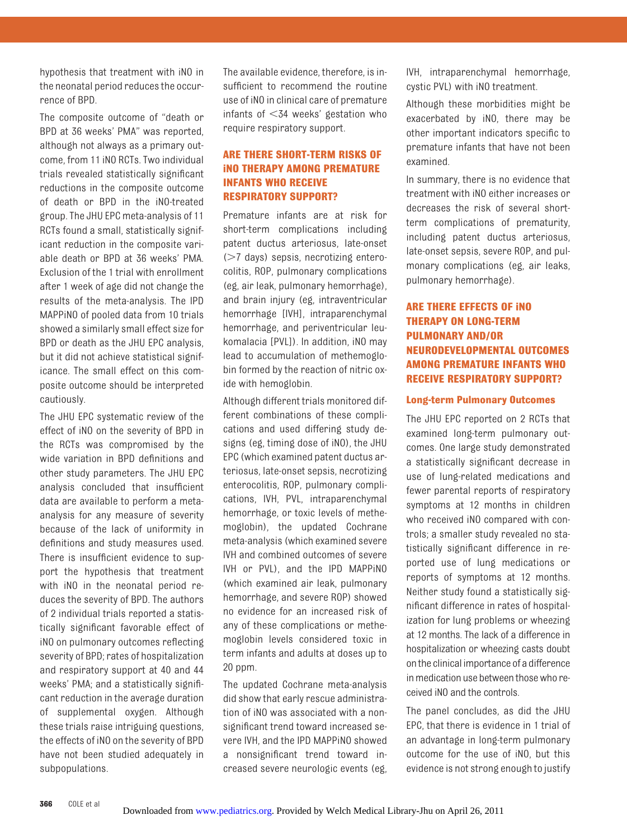hypothesis that treatment with iNO in the neonatal period reduces the occurrence of BPD.

The composite outcome of "death or BPD at 36 weeks' PMA" was reported, although not always as a primary outcome, from 11 iNO RCTs. Two individual trials revealed statistically significant reductions in the composite outcome of death or BPD in the iNO-treated group. The JHU EPC meta-analysis of 11 RCTs found a small, statistically significant reduction in the composite variable death or BPD at 36 weeks' PMA. Exclusion of the 1 trial with enrollment after 1 week of age did not change the results of the meta-analysis. The IPD MAPPiNO of pooled data from 10 trials showed a similarly small effect size for BPD or death as the JHU EPC analysis, but it did not achieve statistical significance. The small effect on this composite outcome should be interpreted cautiously.

The JHU EPC systematic review of the effect of iNO on the severity of BPD in the RCTs was compromised by the wide variation in BPD definitions and other study parameters. The JHU EPC analysis concluded that insufficient data are available to perform a metaanalysis for any measure of severity because of the lack of uniformity in definitions and study measures used. There is insufficient evidence to support the hypothesis that treatment with iNO in the neonatal period reduces the severity of BPD. The authors of 2 individual trials reported a statistically significant favorable effect of iNO on pulmonary outcomes reflecting severity of BPD; rates of hospitalization and respiratory support at 40 and 44 weeks' PMA; and a statistically significant reduction in the average duration of supplemental oxygen. Although these trials raise intriguing questions, the effects of iNO on the severity of BPD have not been studied adequately in subpopulations.

The available evidence, therefore, is insufficient to recommend the routine use of iNO in clinical care of premature infants of -34 weeks' gestation who require respiratory support.

#### **ARE THERE SHORT-TERM RISKS OF iNO THERAPY AMONG PREMATURE INFANTS WHO RECEIVE RESPIRATORY SUPPORT?**

Premature infants are at risk for short-term complications including patent ductus arteriosus, late-onset  $($ >7 days) sepsis, necrotizing enterocolitis, ROP, pulmonary complications (eg, air leak, pulmonary hemorrhage), and brain injury (eg, intraventricular hemorrhage [IVH], intraparenchymal hemorrhage, and periventricular leukomalacia [PVL]). In addition, iNO may lead to accumulation of methemoglobin formed by the reaction of nitric oxide with hemoglobin.

Although different trials monitored different combinations of these complications and used differing study designs (eg, timing dose of iNO), the JHU EPC (which examined patent ductus arteriosus, late-onset sepsis, necrotizing enterocolitis, ROP, pulmonary complications, IVH, PVL, intraparenchymal hemorrhage, or toxic levels of methemoglobin), the updated Cochrane meta-analysis (which examined severe IVH and combined outcomes of severe IVH or PVL), and the IPD MAPPiNO (which examined air leak, pulmonary hemorrhage, and severe ROP) showed no evidence for an increased risk of any of these complications or methemoglobin levels considered toxic in term infants and adults at doses up to 20 ppm.

The updated Cochrane meta-analysis did show that early rescue administration of iNO was associated with a nonsignificant trend toward increased severe IVH, and the IPD MAPPiNO showed a nonsignificant trend toward increased severe neurologic events (eg,

IVH, intraparenchymal hemorrhage, cystic PVL) with iNO treatment.

Although these morbidities might be exacerbated by iNO, there may be other important indicators specific to premature infants that have not been examined.

In summary, there is no evidence that treatment with iNO either increases or decreases the risk of several shortterm complications of prematurity, including patent ductus arteriosus, late-onset sepsis, severe ROP, and pulmonary complications (eg, air leaks, pulmonary hemorrhage).

# **ARE THERE EFFECTS OF iNO THERAPY ON LONG-TERM PULMONARY AND/OR NEURODEVELOPMENTAL OUTCOMES AMONG PREMATURE INFANTS WHO RECEIVE RESPIRATORY SUPPORT?**

#### **Long-term Pulmonary Outcomes**

The JHU EPC reported on 2 RCTs that examined long-term pulmonary outcomes. One large study demonstrated a statistically significant decrease in use of lung-related medications and fewer parental reports of respiratory symptoms at 12 months in children who received iNO compared with controls; a smaller study revealed no statistically significant difference in reported use of lung medications or reports of symptoms at 12 months. Neither study found a statistically significant difference in rates of hospitalization for lung problems or wheezing at 12 months. The lack of a difference in hospitalization or wheezing casts doubt onthe clinical importance of a difference in medication use between those who received iNO and the controls.

The panel concludes, as did the JHU EPC, that there is evidence in 1 trial of an advantage in long-term pulmonary outcome for the use of iNO, but this evidence is not strong enough to justify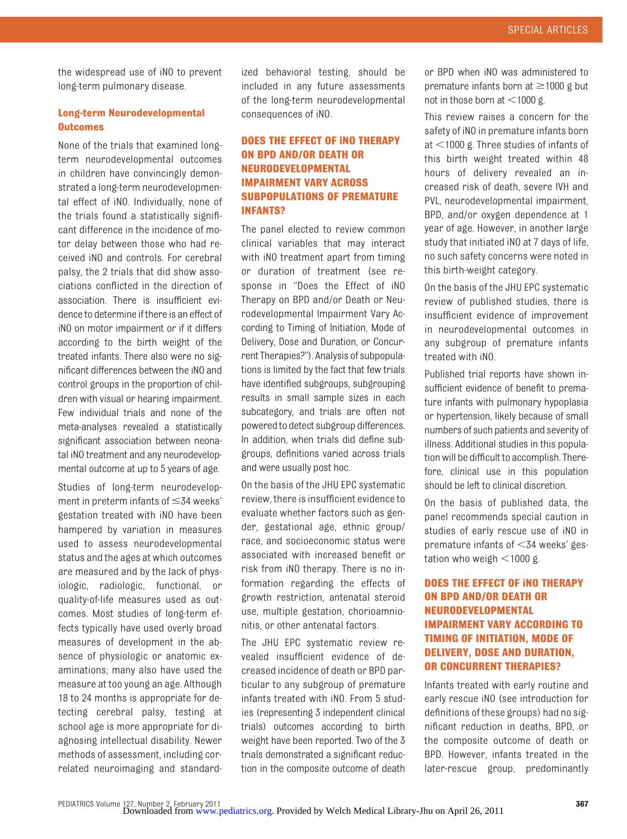the widespread use of iNO to prevent long-term pulmonary disease.

#### **Long-term Neurodevelopmental Outcomes**

None of the trials that examined longterm neurodevelopmental outcomes in children have convincingly demonstrated a long-term neurodevelopmental effect of iNO. Individually, none of the trials found a statistically significant difference in the incidence of motor delay between those who had received iNO and controls. For cerebral palsy, the 2 trials that did show associations conflicted in the direction of association. There is insufficient evidenceto determine ifthere is an effect of iNO on motor impairment or if it differs according to the birth weight of the treated infants. There also were no significant differences between the iNO and control groups in the proportion of children with visual or hearing impairment. Few individual trials and none of the meta-analyses revealed a statistically significant association between neonatal iNO treatment and any neurodevelopmental outcome at up to 5 years of age.

Studies of long-term neurodevelopment in preterm infants of  $\leq$  34 weeks' gestation treated with iNO have been hampered by variation in measures used to assess neurodevelopmental status and the ages at which outcomes are measured and by the lack of physiologic, radiologic, functional, or quality-of-life measures used as outcomes. Most studies of long-term effects typically have used overly broad measures of development in the absence of physiologic or anatomic examinations; many also have used the measure at too young an age. Although 18 to 24 months is appropriate for detecting cerebral palsy, testing at school age is more appropriate for diagnosing intellectual disability. Newer methods of assessment, including correlated neuroimaging and standardized behavioral testing, should be included in any future assessments of the long-term neurodevelopmental consequences of iNO.

## **DOES THE EFFECT OF iNO THERAPY ON BPD AND/OR DEATH OR NEURODEVELOPMENTAL IMPAIRMENT VARY ACROSS SUBPOPULATIONS OF PREMATURE INFANTS?**

The panel elected to review common clinical variables that may interact with iNO treatment apart from timing or duration of treatment (see response in "Does the Effect of iNO Therapy on BPD and/or Death or Neurodevelopmental Impairment Vary According to Timing of Initiation, Mode of Delivery, Dose and Duration, or Concurrent Therapies?"). Analysis of subpopulations is limited by the fact that few trials have identified subgroups, subgrouping results in small sample sizes in each subcategory, and trials are often not powered to detect subgroup differences. In addition, when trials did define subgroups, definitions varied across trials and were usually post hoc.

On the basis of the JHU EPC systematic review, there is insufficient evidence to evaluate whether factors such as gender, gestational age, ethnic group/ race, and socioeconomic status were associated with increased benefit or risk from iNO therapy. There is no information regarding the effects of growth restriction, antenatal steroid use, multiple gestation, chorioamnionitis, or other antenatal factors.

The JHU EPC systematic review revealed insufficient evidence of decreased incidence of death or BPD particular to any subgroup of premature infants treated with iNO. From 5 studies (representing 3 independent clinical trials) outcomes according to birth weight have been reported. Two of the 3 trials demonstrated a significant reduction in the composite outcome of death or BPD when iNO was administered to premature infants born at  $\geq$ 1000 g but not in those born at  $<$  1000 g.

This review raises a concern for the safety of iNO in premature infants born at  $<$  1000 g. Three studies of infants of this birth weight treated within 48 hours of delivery revealed an increased risk of death, severe IVH and PVL, neurodevelopmental impairment, BPD, and/or oxygen dependence at 1 year of age. However, in another large study that initiated iNO at 7 days of life, no such safety concerns were noted in this birth-weight category.

On the basis of the JHU EPC systematic review of published studies, there is insufficient evidence of improvement in neurodevelopmental outcomes in any subgroup of premature infants treated with iNO.

Published trial reports have shown insufficient evidence of benefit to premature infants with pulmonary hypoplasia or hypertension, likely because of small numbers of such patients and severity of illness. Additional studies in this population will be difficult to accomplish. Therefore, clinical use in this population should be left to clinical discretion.

On the basis of published data, the panel recommends special caution in studies of early rescue use of iNO in premature infants of  $<$ 34 weeks' ges $t$ ation who weigh  $<$ 1000 g.

## **DOES THE EFFECT OF iNO THERAPY ON BPD AND/OR DEATH OR NEURODEVELOPMENTAL IMPAIRMENT VARY ACCORDING TO TIMING OF INITIATION, MODE OF DELIVERY, DOSE AND DURATION, OR CONCURRENT THERAPIES?**

Infants treated with early routine and early rescue iNO (see introduction for definitions of these groups) had no significant reduction in deaths, BPD, or the composite outcome of death or BPD. However, infants treated in the later-rescue group, predominantly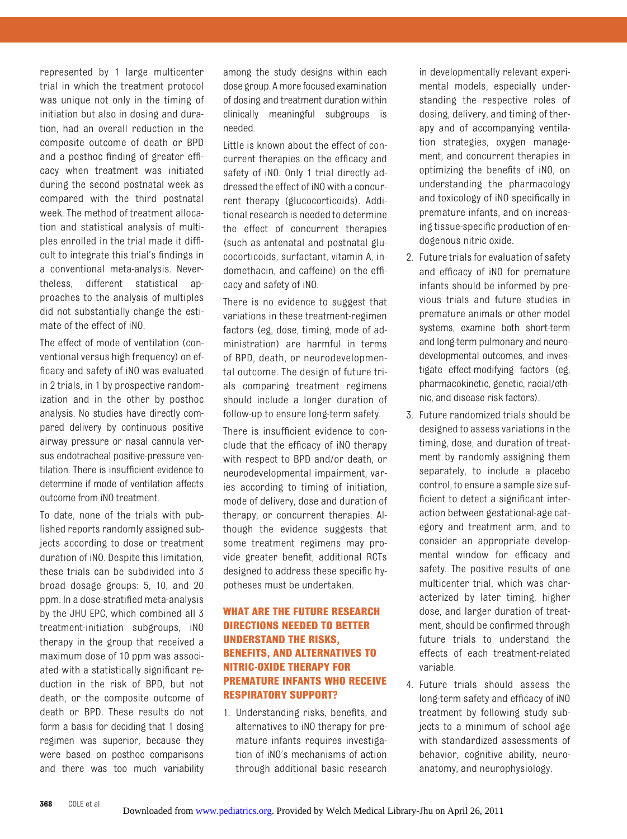represented by 1 large multicenter trial in which the treatment protocol was unique not only in the timing of initiation but also in dosing and duration, had an overall reduction in the composite outcome of death or BPD and a posthoc finding of greater efficacy when treatment was initiated during the second postnatal week as compared with the third postnatal week. The method of treatment allocation and statistical analysis of multiples enrolled in the trial made it difficult to integrate this trial's findings in a conventional meta-analysis. Nevertheless, different statistical approaches to the analysis of multiples did not substantially change the estimate of the effect of iNO.

The effect of mode of ventilation (conventional versus high frequency) on efficacy and safety of iNO was evaluated in 2 trials, in 1 by prospective randomization and in the other by posthoc analysis. No studies have directly compared delivery by continuous positive airway pressure or nasal cannula versus endotracheal positive-pressure ventilation. There is insufficient evidence to determine if mode of ventilation affects outcome from iNO treatment.

To date, none of the trials with published reports randomly assigned subjects according to dose or treatment duration of iNO. Despite this limitation, these trials can be subdivided into 3 broad dosage groups: 5, 10, and 20 ppm. In a dose-stratified meta-analysis by the JHU EPC, which combined all 3 treatment-initiation subgroups, iNO therapy in the group that received a maximum dose of 10 ppm was associated with a statistically significant reduction in the risk of BPD, but not death, or the composite outcome of death or BPD. These results do not form a basis for deciding that 1 dosing regimen was superior, because they were based on posthoc comparisons and there was too much variability among the study designs within each dose group. A more focused examination of dosing and treatment duration within clinically meaningful subgroups is needed.

Little is known about the effect of concurrent therapies on the efficacy and safety of iNO. Only 1 trial directly addressed the effect of iNO with a concurrent therapy (glucocorticoids). Additional research is needed to determine the effect of concurrent therapies (such as antenatal and postnatal glucocorticoids, surfactant, vitamin A, indomethacin, and caffeine) on the efficacy and safety of iNO.

There is no evidence to suggest that variations in these treatment-regimen factors (eg, dose, timing, mode of administration) are harmful in terms of BPD, death, or neurodevelopmental outcome. The design of future trials comparing treatment regimens should include a longer duration of follow-up to ensure long-term safety.

There is insufficient evidence to conclude that the efficacy of iNO therapy with respect to BPD and/or death, or neurodevelopmental impairment, varies according to timing of initiation, mode of delivery, dose and duration of therapy, or concurrent therapies. Although the evidence suggests that some treatment regimens may provide greater benefit, additional RCTs designed to address these specific hypotheses must be undertaken.

### **WHAT ARE THE FUTURE RESEARCH DIRECTIONS NEEDED TO BETTER UNDERSTAND THE RISKS, BENEFITS, AND ALTERNATIVES TO NITRIC-OXIDE THERAPY FOR PREMATURE INFANTS WHO RECEIVE RESPIRATORY SUPPORT?**

1. Understanding risks, benefits, and alternatives to iNO therapy for premature infants requires investigation of iNO's mechanisms of action through additional basic research in developmentally relevant experimental models, especially understanding the respective roles of dosing, delivery, and timing of therapy and of accompanying ventilation strategies, oxygen management, and concurrent therapies in optimizing the benefits of iNO, on understanding the pharmacology and toxicology of iNO specifically in premature infants, and on increasing tissue-specific production of endogenous nitric oxide.

- 2. Future trials for evaluation of safety and efficacy of iNO for premature infants should be informed by previous trials and future studies in premature animals or other model systems, examine both short-term and long-term pulmonary and neurodevelopmental outcomes, and investigate effect-modifying factors (eg, pharmacokinetic, genetic, racial/ethnic, and disease risk factors).
- 3. Future randomized trials should be designed to assess variations in the timing, dose, and duration of treatment by randomly assigning them separately, to include a placebo control, to ensure a sample size sufficient to detect a significant interaction between gestational-age category and treatment arm, and to consider an appropriate developmental window for efficacy and safety. The positive results of one multicenter trial, which was characterized by later timing, higher dose, and larger duration of treatment, should be confirmed through future trials to understand the effects of each treatment-related variable.
- 4. Future trials should assess the long-term safety and efficacy of iNO treatment by following study subjects to a minimum of school age with standardized assessments of behavior, cognitive ability, neuroanatomy, and neurophysiology.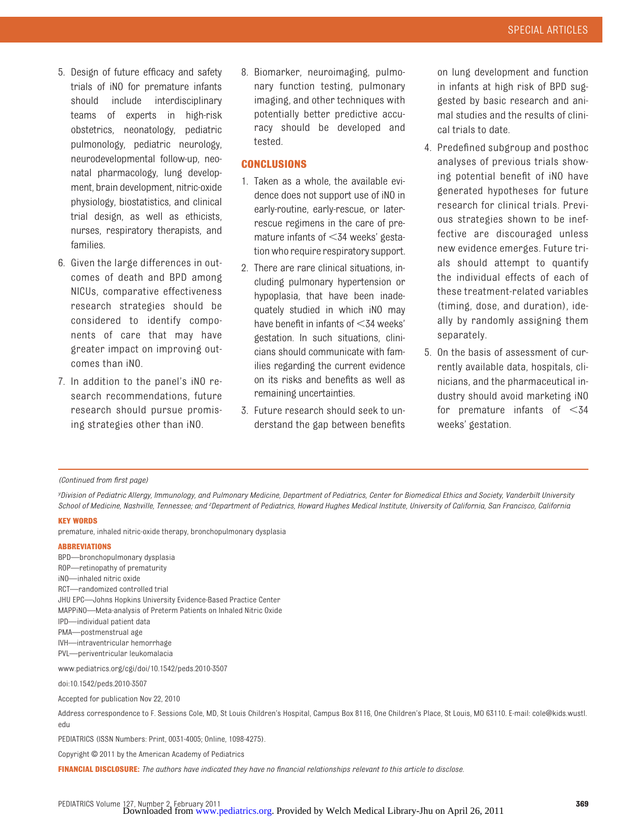- 5. Design of future efficacy and safety trials of iNO for premature infants should include interdisciplinary teams of experts in high-risk obstetrics, neonatology, pediatric pulmonology, pediatric neurology, neurodevelopmental follow-up, neonatal pharmacology, lung development, brain development, nitric-oxide physiology, biostatistics, and clinical trial design, as well as ethicists, nurses, respiratory therapists, and families.
- 6. Given the large differences in outcomes of death and BPD among NICUs, comparative effectiveness research strategies should be considered to identify components of care that may have greater impact on improving outcomes than iNO.
- 7. In addition to the panel's iNO research recommendations, future research should pursue promising strategies other than iNO.

8. Biomarker, neuroimaging, pulmonary function testing, pulmonary imaging, and other techniques with potentially better predictive accuracy should be developed and tested.

#### **CONCLUSIONS**

- 1. Taken as a whole, the available evidence does not support use of iNO in early-routine, early-rescue, or laterrescue regimens in the care of premature infants of  $<$ 34 weeks' gestation who require respiratory support.
- 2. There are rare clinical situations, including pulmonary hypertension or hypoplasia, that have been inadequately studied in which iNO may have benefit in infants of  $<$  34 weeks' gestation. In such situations, clinicians should communicate with families regarding the current evidence on its risks and benefits as well as remaining uncertainties.
- 3. Future research should seek to understand the gap between benefits

on lung development and function in infants at high risk of BPD suggested by basic research and animal studies and the results of clinical trials to date.

- 4. Predefined subgroup and posthoc analyses of previous trials showing potential benefit of iNO have generated hypotheses for future research for clinical trials. Previous strategies shown to be ineffective are discouraged unless new evidence emerges. Future trials should attempt to quantify the individual effects of each of these treatment-related variables (timing, dose, and duration), ideally by randomly assigning them separately.
- 5. On the basis of assessment of currently available data, hospitals, clinicians, and the pharmaceutical industry should avoid marketing iNO for premature infants of  $<$ 34 weeks' gestation.

*(Continued from first page)*

*y Division of Pediatric Allergy, Immunology, and Pulmonary Medicine, Department of Pediatrics, Center for Biomedical Ethics and Society, Vanderbilt University* School of Medicine, Nashville, Tennessee; and <sup>z</sup>Department of Pediatrics, Howard Hughes Medical Institute, University of California, San Francisco, California

#### **KEY WORDS**

premature, inhaled nitric-oxide therapy, bronchopulmonary dysplasia

#### **ABBREVIATIONS**

- BPD—bronchopulmonary dysplasia
- ROP—retinopathy of prematurity
- iNO—inhaled nitric oxide
- RCT—randomized controlled trial
- JHU EPC—Johns Hopkins University Evidence-Based Practice Center
- MAPPiNO—Meta-analysis of Preterm Patients on Inhaled Nitric Oxide
- IPD—individual patient data
- PMA—postmenstrual age
- IVH—intraventricular hemorrhage PVL—periventricular leukomalacia

www.pediatrics.org/cgi/doi/10.1542/peds.2010-3507

doi:10.1542/peds.2010-3507

Accepted for publication Nov 22, 2010

Address correspondence to F. Sessions Cole, MD, St Louis Children's Hospital, Campus Box 8116, One Children's Place, St Louis, MO 63110. E-mail: cole@kids.wustl. edu

PEDIATRICS (ISSN Numbers: Print, 0031-4005; Online, 1098-4275).

Copyright © 2011 by the American Academy of Pediatrics

**FINANCIAL DISCLOSURE:** *The authors have indicated they have no financial relationships relevant to this article to disclose.*